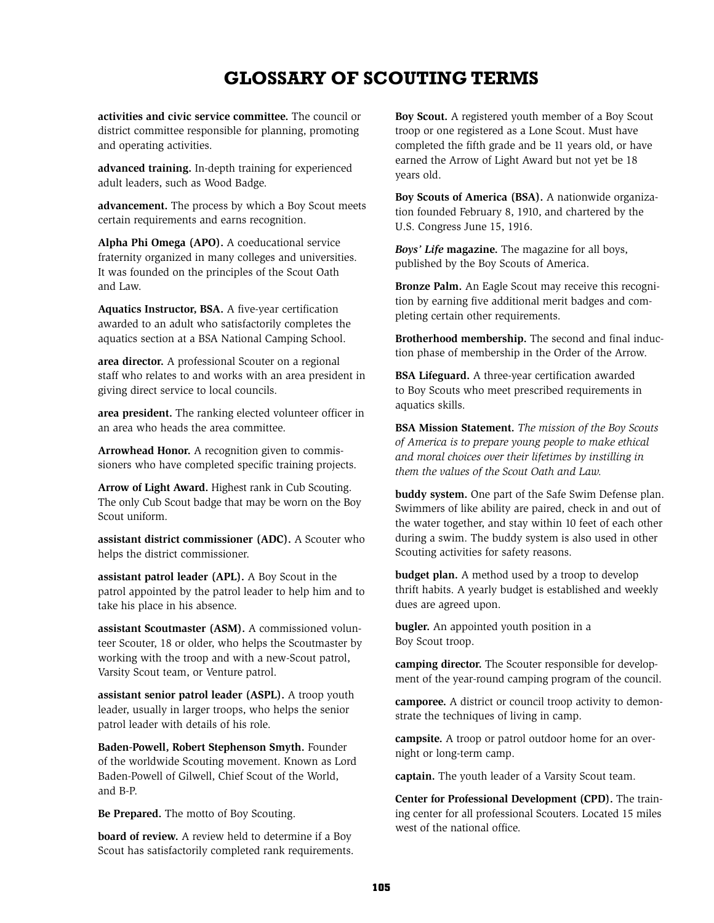## **Glossary of Scouting Terms**

**activities and civic service committee.** The council or district committee responsible for planning, promoting and operating activities.

**advanced training.** In-depth training for experienced adult leaders, such as Wood Badge.

**advancement.** The process by which a Boy Scout meets certain requirements and earns recognition.

**Alpha Phi Omega (APO).** A coeducational service fraternity organized in many colleges and universities. It was founded on the principles of the Scout Oath and Law.

**Aquatics Instructor, BSA.** A five-year certification awarded to an adult who satisfactorily completes the aquatics section at a BSA National Camping School.

**area director.** A professional Scouter on a regional staff who relates to and works with an area president in giving direct service to local councils.

**area president.** The ranking elected volunteer officer in an area who heads the area committee.

**Arrowhead Honor.** A recognition given to commissioners who have completed specific training projects.

**Arrow of Light Award.** Highest rank in Cub Scouting. The only Cub Scout badge that may be worn on the Boy Scout uniform.

**assistant district commissioner (ADC).** A Scouter who helps the district commissioner.

**assistant patrol leader (APL).** A Boy Scout in the patrol appointed by the patrol leader to help him and to take his place in his absence.

**assistant Scoutmaster (ASM).** A commissioned volunteer Scouter, 18 or older, who helps the Scoutmaster by working with the troop and with a new-Scout patrol, Varsity Scout team, or Venture patrol.

**assistant senior patrol leader (ASPL).** A troop youth leader, usually in larger troops, who helps the senior patrol leader with details of his role.

**Baden-Powell, Robert Stephenson Smyth.** Founder of the worldwide Scouting movement. Known as Lord Baden-Powell of Gilwell, Chief Scout of the World, and B-P.

**Be Prepared.** The motto of Boy Scouting.

**board of review.** A review held to determine if a Boy Scout has satisfactorily completed rank requirements. **Boy Scout.** A registered youth member of a Boy Scout troop or one registered as a Lone Scout. Must have completed the fifth grade and be 11 years old, or have earned the Arrow of Light Award but not yet be 18 years old.

**Boy Scouts of America (BSA).** A nationwide organization founded February 8, 1910, and chartered by the U.S. Congress June 15, 1916.

*Boys' Life* **magazine.** The magazine for all boys, published by the Boy Scouts of America.

**Bronze Palm.** An Eagle Scout may receive this recognition by earning five additional merit badges and completing certain other requirements.

**Brotherhood membership.** The second and final induction phase of membership in the Order of the Arrow.

**BSA Lifeguard.** A three-year certification awarded to Boy Scouts who meet prescribed requirements in aquatics skills.

**BSA Mission Statement.** *The mission of the Boy Scouts of America is to prepare young people to make ethical and moral choices over their lifetimes by instilling in them the values of the Scout Oath and Law.*

**buddy system.** One part of the Safe Swim Defense plan. Swimmers of like ability are paired, check in and out of the water together, and stay within 10 feet of each other during a swim. The buddy system is also used in other Scouting activities for safety reasons.

**budget plan.** A method used by a troop to develop thrift habits. A yearly budget is established and weekly dues are agreed upon.

**bugler.** An appointed youth position in a Boy Scout troop.

**camping director.** The Scouter responsible for development of the year-round camping program of the council.

**camporee.** A district or council troop activity to demonstrate the techniques of living in camp.

**campsite.** A troop or patrol outdoor home for an overnight or long-term camp.

**captain.** The youth leader of a Varsity Scout team.

**Center for Professional Development (CPD).** The training center for all professional Scouters. Located 15 miles west of the national office.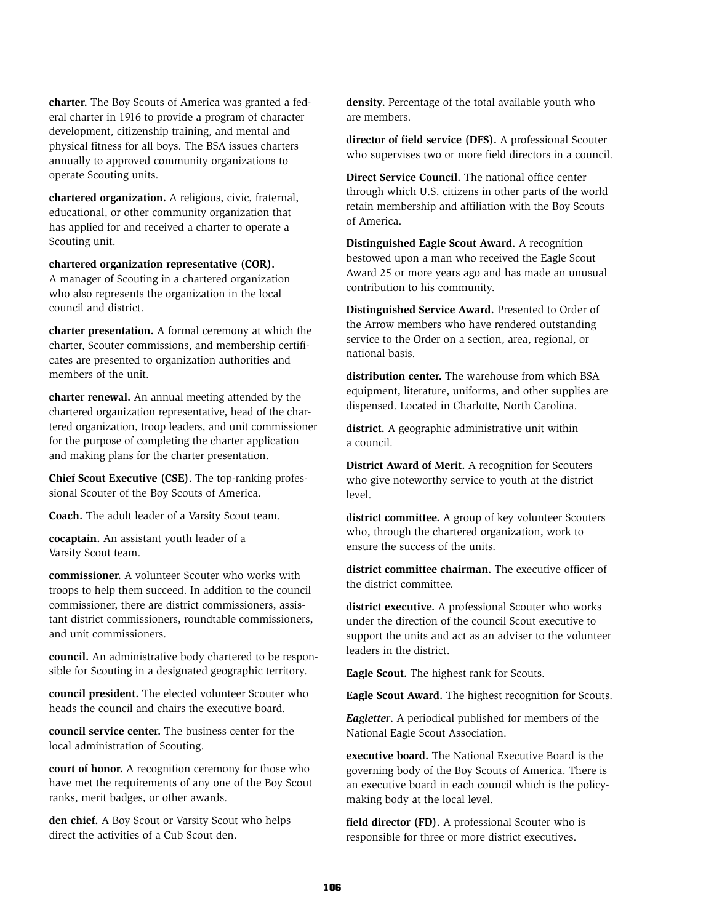**charter.** The Boy Scouts of America was granted a federal charter in 1916 to provide a program of character development, citizenship training, and mental and physical fitness for all boys. The BSA issues charters annually to approved community organizations to operate Scouting units.

**chartered organization.** A religious, civic, fraternal, educational, or other community organization that has applied for and received a charter to operate a Scouting unit.

**chartered organization representative (COR).** A manager of Scouting in a chartered organization who also represents the organization in the local council and district.

**charter presentation.** A formal ceremony at which the charter, Scouter commissions, and membership certificates are presented to organization authorities and members of the unit.

**charter renewal.** An annual meeting attended by the chartered organization representative, head of the chartered organization, troop leaders, and unit commissioner for the purpose of completing the charter application and making plans for the charter presentation.

**Chief Scout Executive (CSE).** The top-ranking professional Scouter of the Boy Scouts of America.

**Coach.** The adult leader of a Varsity Scout team.

**cocaptain.** An assistant youth leader of a Varsity Scout team.

**commissioner.** A volunteer Scouter who works with troops to help them succeed. In addition to the council commissioner, there are district commissioners, assistant district commissioners, roundtable commissioners, and unit commissioners.

**council.** An administrative body chartered to be responsible for Scouting in a designated geographic territory.

**council president.** The elected volunteer Scouter who heads the council and chairs the executive board.

**council service center.** The business center for the local administration of Scouting.

**court of honor.** A recognition ceremony for those who have met the requirements of any one of the Boy Scout ranks, merit badges, or other awards.

**den chief.** A Boy Scout or Varsity Scout who helps direct the activities of a Cub Scout den.

**density.** Percentage of the total available youth who are members.

**director of field service (DFS).** A professional Scouter who supervises two or more field directors in a council.

**Direct Service Council.** The national office center through which U.S. citizens in other parts of the world retain membership and affiliation with the Boy Scouts of America.

**Distinguished Eagle Scout Award.** A recognition bestowed upon a man who received the Eagle Scout Award 25 or more years ago and has made an unusual contribution to his community.

**Distinguished Service Award.** Presented to Order of the Arrow members who have rendered outstanding service to the Order on a section, area, regional, or national basis.

**distribution center.** The warehouse from which BSA equipment, literature, uniforms, and other supplies are dispensed. Located in Charlotte, North Carolina.

**district.** A geographic administrative unit within a council.

**District Award of Merit.** A recognition for Scouters who give noteworthy service to youth at the district level.

**district committee.** A group of key volunteer Scouters who, through the chartered organization, work to ensure the success of the units.

district committee chairman. The executive officer of the district committee.

**district executive.** A professional Scouter who works under the direction of the council Scout executive to support the units and act as an adviser to the volunteer leaders in the district.

**Eagle Scout.** The highest rank for Scouts.

**Eagle Scout Award.** The highest recognition for Scouts.

*Eagletter***.** A periodical published for members of the National Eagle Scout Association.

**executive board.** The National Executive Board is the governing body of the Boy Scouts of America. There is an executive board in each council which is the policymaking body at the local level.

**field director (FD).** A professional Scouter who is responsible for three or more district executives.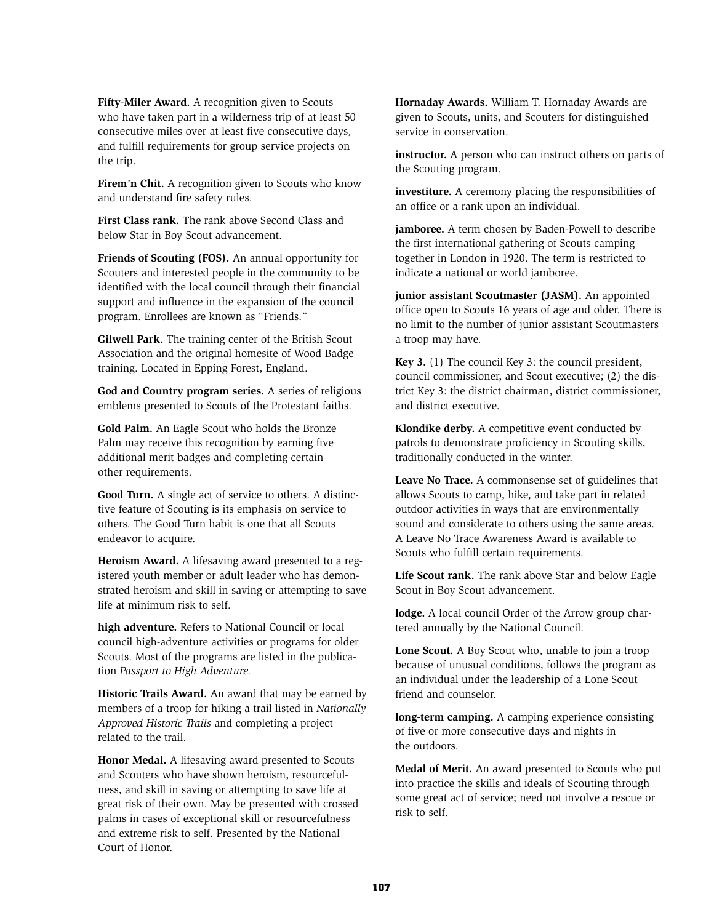**Fifty-Miler Award.** A recognition given to Scouts who have taken part in a wilderness trip of at least 50 consecutive miles over at least five consecutive days, and fulfill requirements for group service projects on the trip.

Firem'n Chit. A recognition given to Scouts who know and understand fire safety rules.

**First Class rank.** The rank above Second Class and below Star in Boy Scout advancement.

**Friends of Scouting (FOS).** An annual opportunity for Scouters and interested people in the community to be identified with the local council through their financial support and influence in the expansion of the council program. Enrollees are known as "Friends."

**Gilwell Park.** The training center of the British Scout Association and the original homesite of Wood Badge training. Located in Epping Forest, England.

**God and Country program series.** A series of religious emblems presented to Scouts of the Protestant faiths.

**Gold Palm.** An Eagle Scout who holds the Bronze Palm may receive this recognition by earning five additional merit badges and completing certain other requirements.

**Good Turn.** A single act of service to others. A distinctive feature of Scouting is its emphasis on service to others. The Good Turn habit is one that all Scouts endeavor to acquire.

**Heroism Award.** A lifesaving award presented to a registered youth member or adult leader who has demonstrated heroism and skill in saving or attempting to save life at minimum risk to self.

**high adventure.** Refers to National Council or local council high-adventure activities or programs for older Scouts. Most of the programs are listed in the publication *Passport to High Adventure.*

**Historic Trails Award.** An award that may be earned by members of a troop for hiking a trail listed in *Nationally Approved Historic Trails* and completing a project related to the trail.

**Honor Medal.** A lifesaving award presented to Scouts and Scouters who have shown heroism, resourcefulness, and skill in saving or attempting to save life at great risk of their own. May be presented with crossed palms in cases of exceptional skill or resourcefulness and extreme risk to self. Presented by the National Court of Honor.

**Hornaday Awards.** William T. Hornaday Awards are given to Scouts, units, and Scouters for distinguished service in conservation.

**instructor.** A person who can instruct others on parts of the Scouting program.

**investiture.** A ceremony placing the responsibilities of an office or a rank upon an individual.

**jamboree.** A term chosen by Baden-Powell to describe the first international gathering of Scouts camping together in London in 1920. The term is restricted to indicate a national or world jamboree.

**junior assistant Scoutmaster (JASM).** An appointed office open to Scouts 16 years of age and older. There is no limit to the number of junior assistant Scoutmasters a troop may have.

**Key 3.** (1) The council Key 3: the council president, council commissioner, and Scout executive; (2) the district Key 3: the district chairman, district commissioner, and district executive.

**Klondike derby.** A competitive event conducted by patrols to demonstrate proficiency in Scouting skills, traditionally conducted in the winter.

**Leave No Trace.** A commonsense set of guidelines that allows Scouts to camp, hike, and take part in related outdoor activities in ways that are environmentally sound and considerate to others using the same areas. A Leave No Trace Awareness Award is available to Scouts who fulfill certain requirements.

**Life Scout rank.** The rank above Star and below Eagle Scout in Boy Scout advancement.

**lodge.** A local council Order of the Arrow group chartered annually by the National Council.

**Lone Scout.** A Boy Scout who, unable to join a troop because of unusual conditions, follows the program as an individual under the leadership of a Lone Scout friend and counselor.

**long-term camping.** A camping experience consisting of five or more consecutive days and nights in the outdoors.

**Medal of Merit.** An award presented to Scouts who put into practice the skills and ideals of Scouting through some great act of service; need not involve a rescue or risk to self.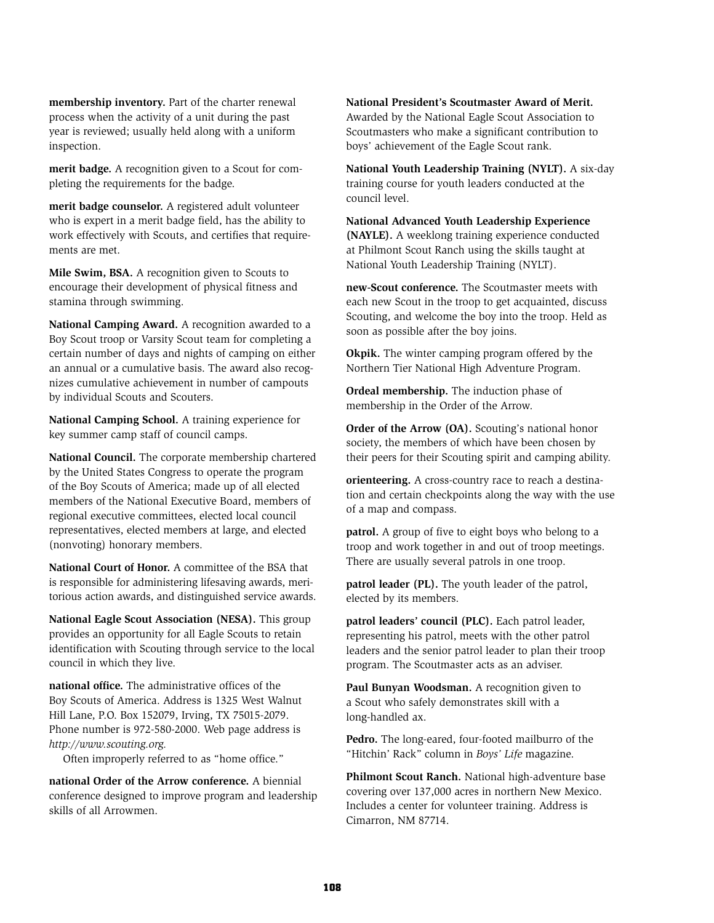**membership inventory.** Part of the charter renewal process when the activity of a unit during the past year is reviewed; usually held along with a uniform inspection.

**merit badge.** A recognition given to a Scout for completing the requirements for the badge.

**merit badge counselor.** A registered adult volunteer who is expert in a merit badge field, has the ability to work effectively with Scouts, and certifies that requirements are met.

**Mile Swim, BSA.** A recognition given to Scouts to encourage their development of physical fitness and stamina through swimming.

**National Camping Award.** A recognition awarded to a Boy Scout troop or Varsity Scout team for completing a certain number of days and nights of camping on either an annual or a cumulative basis. The award also recognizes cumulative achievement in number of campouts by individual Scouts and Scouters.

**National Camping School.** A training experience for key summer camp staff of council camps.

**National Council.** The corporate membership chartered by the United States Congress to operate the program of the Boy Scouts of America; made up of all elected members of the National Executive Board, members of regional executive committees, elected local council representatives, elected members at large, and elected (nonvoting) honorary members.

**National Court of Honor.** A committee of the BSA that is responsible for administering lifesaving awards, meritorious action awards, and distinguished service awards.

**National Eagle Scout Association (NESA).** This group provides an opportunity for all Eagle Scouts to retain identification with Scouting through service to the local council in which they live.

**national office.** The administrative offices of the Boy Scouts of America. Address is 1325 West Walnut Hill Lane, P.O. Box 152079, Irving, TX 75015-2079. Phone number is 972-580-2000. Web page address is *http://www.scouting.org.*

Often improperly referred to as "home office."

**national Order of the Arrow conference.** A biennial conference designed to improve program and leadership skills of all Arrowmen.

**National President's Scoutmaster Award of Merit.**  Awarded by the National Eagle Scout Association to Scoutmasters who make a significant contribution to boys' achievement of the Eagle Scout rank.

**National Youth Leadership Training (NYLT).** A six-day training course for youth leaders conducted at the council level.

**National Advanced Youth Leadership Experience (NAYLE).** A weeklong training experience conducted at Philmont Scout Ranch using the skills taught at National Youth Leadership Training (NYLT).

**new-Scout conference.** The Scoutmaster meets with each new Scout in the troop to get acquainted, discuss Scouting, and welcome the boy into the troop. Held as soon as possible after the boy joins.

**Okpik.** The winter camping program offered by the Northern Tier National High Adventure Program.

**Ordeal membership.** The induction phase of membership in the Order of the Arrow.

**Order of the Arrow (OA).** Scouting's national honor society, the members of which have been chosen by their peers for their Scouting spirit and camping ability.

**orienteering.** A cross-country race to reach a destination and certain checkpoints along the way with the use of a map and compass.

**patrol.** A group of five to eight boys who belong to a troop and work together in and out of troop meetings. There are usually several patrols in one troop.

**patrol leader (PL).** The youth leader of the patrol, elected by its members.

**patrol leaders' council (PLC).** Each patrol leader, representing his patrol, meets with the other patrol leaders and the senior patrol leader to plan their troop program. The Scoutmaster acts as an adviser.

**Paul Bunyan Woodsman.** A recognition given to a Scout who safely demonstrates skill with a long-handled ax.

**Pedro.** The long-eared, four-footed mailburro of the "Hitchin' Rack" column in *Boys' Life* magazine.

**Philmont Scout Ranch.** National high-adventure base covering over 137,000 acres in northern New Mexico. Includes a center for volunteer training. Address is Cimarron, NM 87714.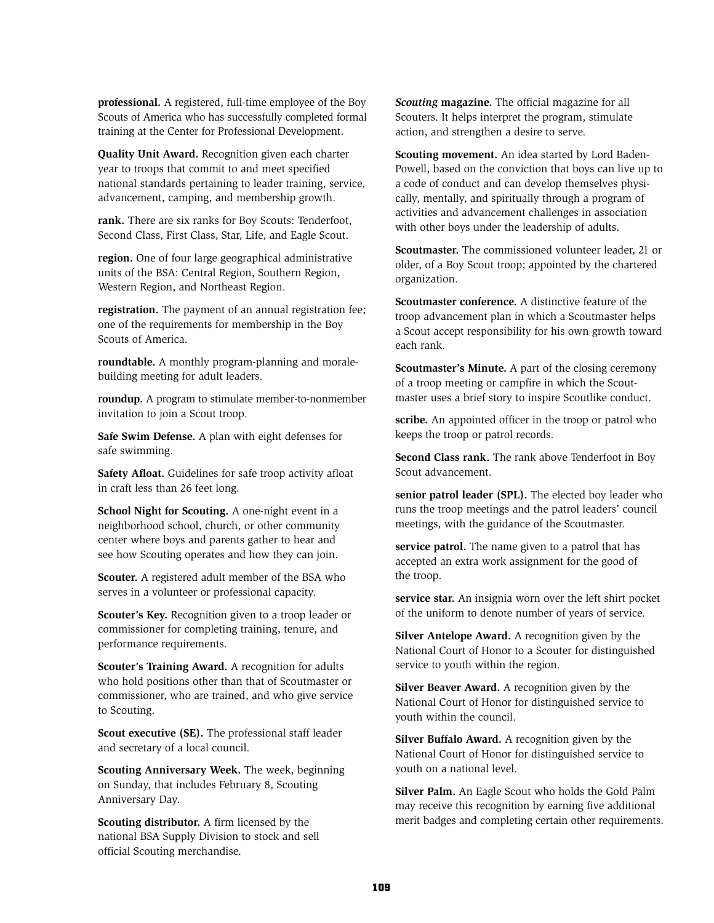**professional.** A registered, full-time employee of the Boy Scouts of America who has successfully completed formal training at the Center for Professional Development.

**Quality Unit Award.** Recognition given each charter year to troops that commit to and meet specified national standards pertaining to leader training, service, advancement, camping, and membership growth.

**rank.** There are six ranks for Boy Scouts: Tenderfoot, Second Class, First Class, Star, Life, and Eagle Scout.

**region.** One of four large geographical administrative units of the BSA: Central Region, Southern Region, Western Region, and Northeast Region.

**registration.** The payment of an annual registration fee; one of the requirements for membership in the Boy Scouts of America.

**roundtable.** A monthly program-planning and moralebuilding meeting for adult leaders.

**roundup.** A program to stimulate member-to-nonmember invitation to join a Scout troop.

**Safe Swim Defense.** A plan with eight defenses for safe swimming.

**Safety Afloat.** Guidelines for safe troop activity afloat in craft less than 26 feet long.

**School Night for Scouting.** A one-night event in a neighborhood school, church, or other community center where boys and parents gather to hear and see how Scouting operates and how they can join.

**Scouter.** A registered adult member of the BSA who serves in a volunteer or professional capacity.

**Scouter's Key.** Recognition given to a troop leader or commissioner for completing training, tenure, and performance requirements.

**Scouter's Training Award.** A recognition for adults who hold positions other than that of Scoutmaster or commissioner, who are trained, and who give service to Scouting.

**Scout executive (SE).** The professional staff leader and secretary of a local council.

**Scouting Anniversary Week.** The week, beginning on Sunday, that includes February 8, Scouting Anniversary Day.

**Scouting distributor.** A firm licensed by the national BSA Supply Division to stock and sell official Scouting merchandise.

*Scouting* **magazine.** The official magazine for all Scouters. It helps interpret the program, stimulate action, and strengthen a desire to serve.

**Scouting movement.** An idea started by Lord Baden-Powell, based on the conviction that boys can live up to a code of conduct and can develop themselves physically, mentally, and spiritually through a program of activities and advancement challenges in association with other boys under the leadership of adults.

**Scoutmaster.** The commissioned volunteer leader, 21 or older, of a Boy Scout troop; appointed by the chartered organization.

**Scoutmaster conference.** A distinctive feature of the troop advancement plan in which a Scoutmaster helps a Scout accept responsibility for his own growth toward each rank.

**Scoutmaster's Minute.** A part of the closing ceremony of a troop meeting or campfire in which the Scoutmaster uses a brief story to inspire Scoutlike conduct.

**scribe.** An appointed officer in the troop or patrol who keeps the troop or patrol records.

**Second Class rank.** The rank above Tenderfoot in Boy Scout advancement.

**senior patrol leader (SPL).** The elected boy leader who runs the troop meetings and the patrol leaders' council meetings, with the guidance of the Scoutmaster.

**service patrol.** The name given to a patrol that has accepted an extra work assignment for the good of the troop.

**service star.** An insignia worn over the left shirt pocket of the uniform to denote number of years of service.

**Silver Antelope Award.** A recognition given by the National Court of Honor to a Scouter for distinguished service to youth within the region.

**Silver Beaver Award.** A recognition given by the National Court of Honor for distinguished service to youth within the council.

**Silver Buffalo Award.** A recognition given by the National Court of Honor for distinguished service to youth on a national level.

**Silver Palm.** An Eagle Scout who holds the Gold Palm may receive this recognition by earning five additional merit badges and completing certain other requirements.